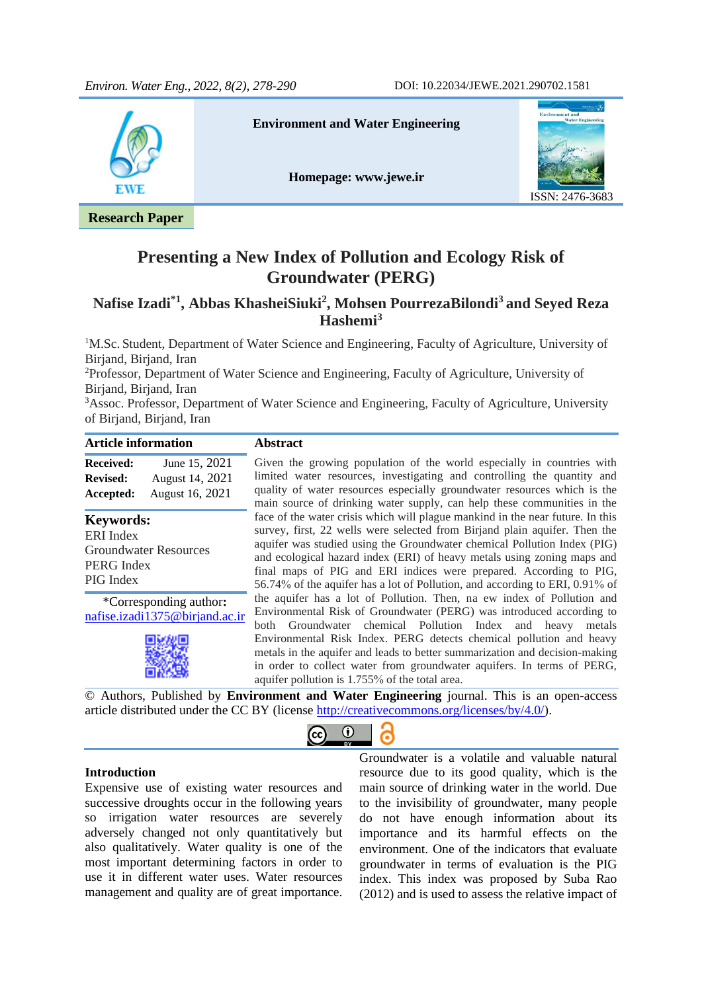

**Presenting a New Index of Pollution and Ecology Risk of Groundwater (PERG)**

# **Nafise Izadi\*1, Abbas KhasheiSiuki<sup>2</sup> , Mohsen PourrezaBilondi<sup>3</sup>and Seyed Reza Hashemi<sup>3</sup>**

<sup>1</sup>M.Sc. Student, Department of Water Science and Engineering, Faculty of Agriculture, University of Birjand, Birjand, Iran

<sup>2</sup>Professor, Department of Water Science and Engineering, Faculty of Agriculture, University of Birjand, Birjand, Iran

<sup>3</sup>Assoc. Professor, Department of Water Science and Engineering, Faculty of Agriculture, University of Birjand, Birjand, Iran

| <b>Article information</b>                                                                              | <b>Abstract</b>                                                                                                                                                                                                                                                                                                                                                                                                                                                                                |  |  |
|---------------------------------------------------------------------------------------------------------|------------------------------------------------------------------------------------------------------------------------------------------------------------------------------------------------------------------------------------------------------------------------------------------------------------------------------------------------------------------------------------------------------------------------------------------------------------------------------------------------|--|--|
| June 15, 2021<br><b>Received:</b><br>August 14, 2021<br><b>Revised:</b><br>August 16, 2021<br>Accepted: | Given the growing population of the world especially in countries with<br>limited water resources, investigating and controlling the quantity and<br>quality of water resources especially groundwater resources which is the<br>main source of drinking water supply, can help these communities in the                                                                                                                                                                                       |  |  |
| <b>Keywords:</b><br>ERI Index<br><b>Groundwater Resources</b><br>PERG Index<br>PIG Index                | face of the water crisis which will plague mankind in the near future. In this<br>survey, first, 22 wells were selected from Birjand plain aquifer. Then the<br>aquifer was studied using the Groundwater chemical Pollution Index (PIG)<br>and ecological hazard index (ERI) of heavy metals using zoning maps and<br>final maps of PIG and ERI indices were prepared. According to PIG,<br>56.74% of the aquifer has a lot of Pollution, and according to ERI, 0.91% of                      |  |  |
| *Corresponding author:<br>nafise.izadi1375@birjand.ac.ir                                                | the aquifer has a lot of Pollution. Then, na ew index of Pollution and<br>Environmental Risk of Groundwater (PERG) was introduced according to<br>both Groundwater chemical Pollution Index and heavy metals<br>Environmental Risk Index. PERG detects chemical pollution and heavy<br>metals in the aquifer and leads to better summarization and decision-making<br>in order to collect water from groundwater aquifers. In terms of PERG,<br>aquifer pollution is 1.755% of the total area. |  |  |

© Authors, Published by **Environment and Water Engineering** journal. This is an open-access article distributed under the CC BY (license [http://creativecommons.org/licenses/by/4.0/\)](http://creativecommons.org/licenses/by/4.0/).

 $\odot$ 

 $(c<sub>c</sub>)$ 

l,

#### **Introduction**

Expensive use of existing water resources and successive droughts occur in the following years so irrigation water resources are severely adversely changed not only quantitatively but also qualitatively. Water quality is one of the most important determining factors in order to use it in different water uses. Water resources management and quality are of great importance.

Groundwater is a volatile and valuable natural resource due to its good quality, which is the main source of drinking water in the world. Due to the invisibility of groundwater, many people do not have enough information about its importance and its harmful effects on the environment. One of the indicators that evaluate groundwater in terms of evaluation is the PIG index. This index was proposed by Suba Rao (2012) and is used to assess the relative impact of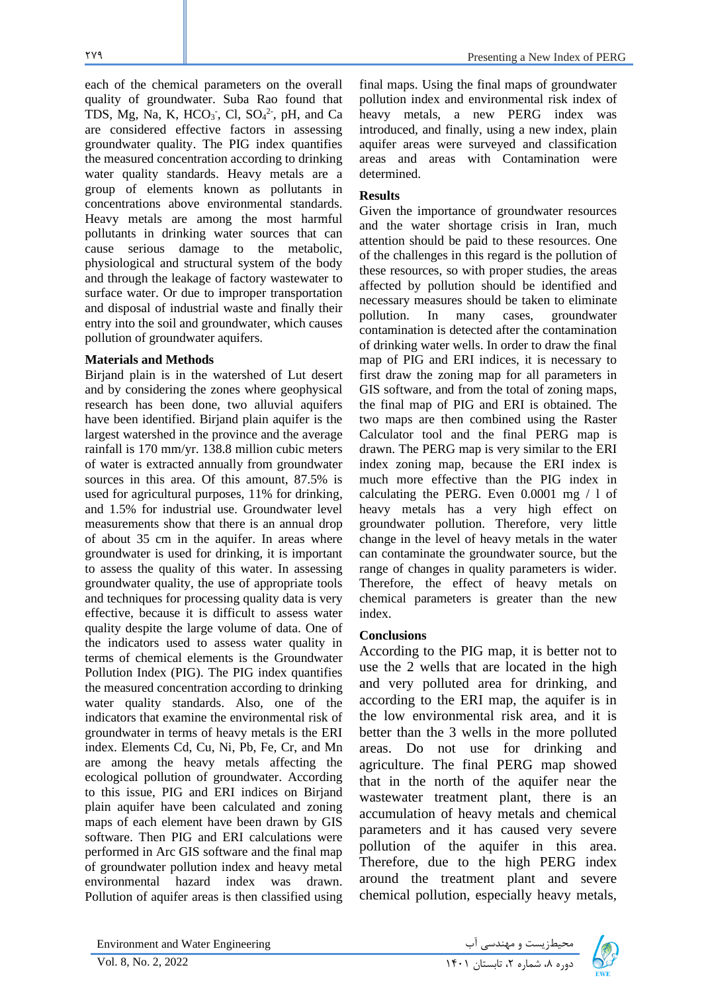each of the chemical parameters on the overall quality of groundwater. Suba Rao found that TDS, Mg, Na, K,  $HCO<sub>3</sub>$ , Cl,  $SO<sub>4</sub><sup>2</sup>$ , pH, and Ca are considered effective factors in assessing groundwater quality. The PIG index quantifies the measured concentration according to drinking water quality standards. Heavy metals are a group of elements known as pollutants in concentrations above environmental standards. Heavy metals are among the most harmful pollutants in drinking water sources that can cause serious damage to the metabolic, physiological and structural system of the body and through the leakage of factory wastewater to surface water. Or due to improper transportation and disposal of industrial waste and finally their entry into the soil and groundwater, which causes pollution of groundwater aquifers.

### **Materials and Methods**

Birjand plain is in the watershed of Lut desert and by considering the zones where geophysical research has been done, two alluvial aquifers have been identified. Birjand plain aquifer is the largest watershed in the province and the average rainfall is 170 mm/yr. 138.8 million cubic meters of water is extracted annually from groundwater sources in this area. Of this amount, 87.5% is used for agricultural purposes, 11% for drinking, and 1.5% for industrial use. Groundwater level measurements show that there is an annual drop of about 35 cm in the aquifer. In areas where groundwater is used for drinking, it is important to assess the quality of this water. In assessing groundwater quality, the use of appropriate tools and techniques for processing quality data is very effective, because it is difficult to assess water quality despite the large volume of data. One of the indicators used to assess water quality in terms of chemical elements is the Groundwater Pollution Index (PIG). The PIG index quantifies the measured concentration according to drinking water quality standards. Also, one of the indicators that examine the environmental risk of groundwater in terms of heavy metals is the ERI index. Elements Cd, Cu, Ni, Pb, Fe, Cr, and Mn are among the heavy metals affecting the ecological pollution of groundwater. According to this issue, PIG and ERI indices on Birjand plain aquifer have been calculated and zoning maps of each element have been drawn by GIS software. Then PIG and ERI calculations were performed in Arc GIS software and the final map of groundwater pollution index and heavy metal environmental hazard index was drawn. Pollution of aquifer areas is then classified using

final maps. Using the final maps of groundwater pollution index and environmental risk index of heavy metals, a new PERG index was introduced, and finally, using a new index, plain aquifer areas were surveyed and classification areas and areas with Contamination were determined.

### **Results**

Given the importance of groundwater resources and the water shortage crisis in Iran, much attention should be paid to these resources. One of the challenges in this regard is the pollution of these resources, so with proper studies, the areas affected by pollution should be identified and necessary measures should be taken to eliminate pollution. In many cases, groundwater contamination is detected after the contamination of drinking water wells. In order to draw the final map of PIG and ERI indices, it is necessary to first draw the zoning map for all parameters in GIS software, and from the total of zoning maps, the final map of PIG and ERI is obtained. The two maps are then combined using the Raster Calculator tool and the final PERG map is drawn. The PERG map is very similar to the ERI index zoning map, because the ERI index is much more effective than the PIG index in calculating the PERG. Even 0.0001 mg / l of heavy metals has a very high effect on groundwater pollution. Therefore, very little change in the level of heavy metals in the water can contaminate the groundwater source, but the range of changes in quality parameters is wider. Therefore, the effect of heavy metals on chemical parameters is greater than the new index.

### **Conclusions**

According to the PIG map, it is better not to use the 2 wells that are located in the high and very polluted area for drinking, and according to the ERI map, the aquifer is in the low environmental risk area, and it is better than the 3 wells in the more polluted areas. Do not use for drinking and agriculture. The final PERG map showed that in the north of the aquifer near the wastewater treatment plant, there is an accumulation of heavy metals and chemical parameters and it has caused very severe pollution of the aquifer in this area. Therefore, due to the high PERG index around the treatment plant and severe chemical pollution, especially heavy metals,

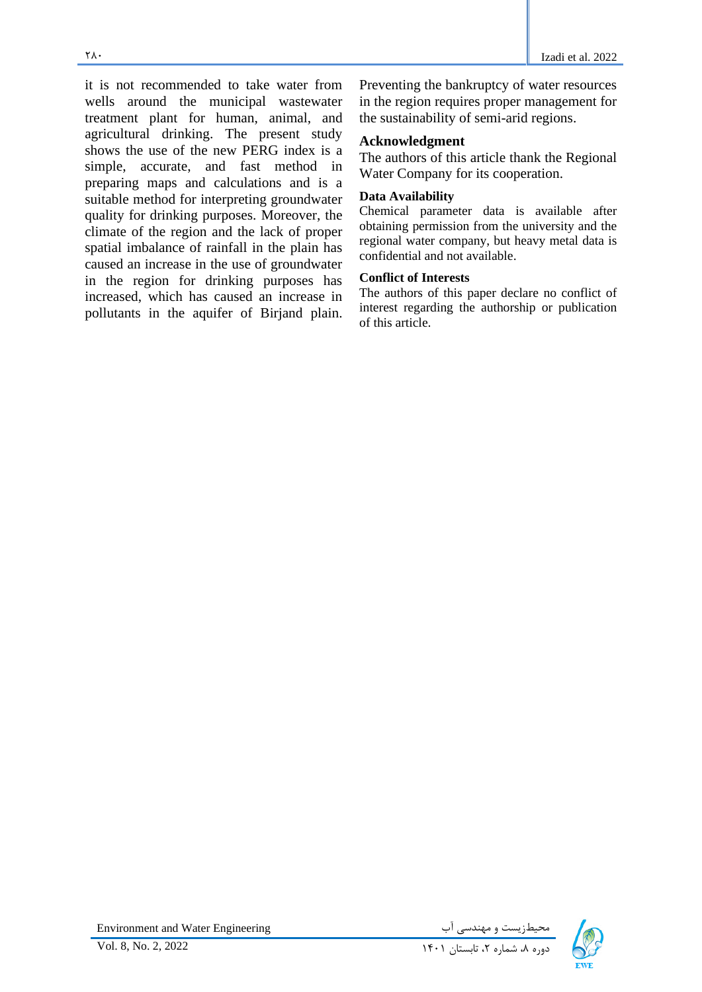it is not recommended to take water from wells around the municipal wastewater treatment plant for human, animal, and agricultural drinking. The present study shows the use of the new PERG index is a simple, accurate, and fast method in preparing maps and calculations and is a suitable method for interpreting groundwater quality for drinking purposes. Moreover, the climate of the region and the lack of proper spatial imbalance of rainfall in the plain has caused an increase in the use of groundwater in the region for drinking purposes has increased, which has caused an increase in pollutants in the aquifer of Birjand plain.

Preventing the bankruptcy of water resources in the region requires proper management for the sustainability of semi-arid regions.

# **Acknowledgment**

The authors of this article thank the Regional Water Company for its cooperation.

### **Data Availability**

Chemical parameter data is available after obtaining permission from the university and the regional water company, but heavy metal data is confidential and not available.

## **Conflict of Interests**

The authors of this paper declare no conflict of interest regarding the authorship or publication of this article.

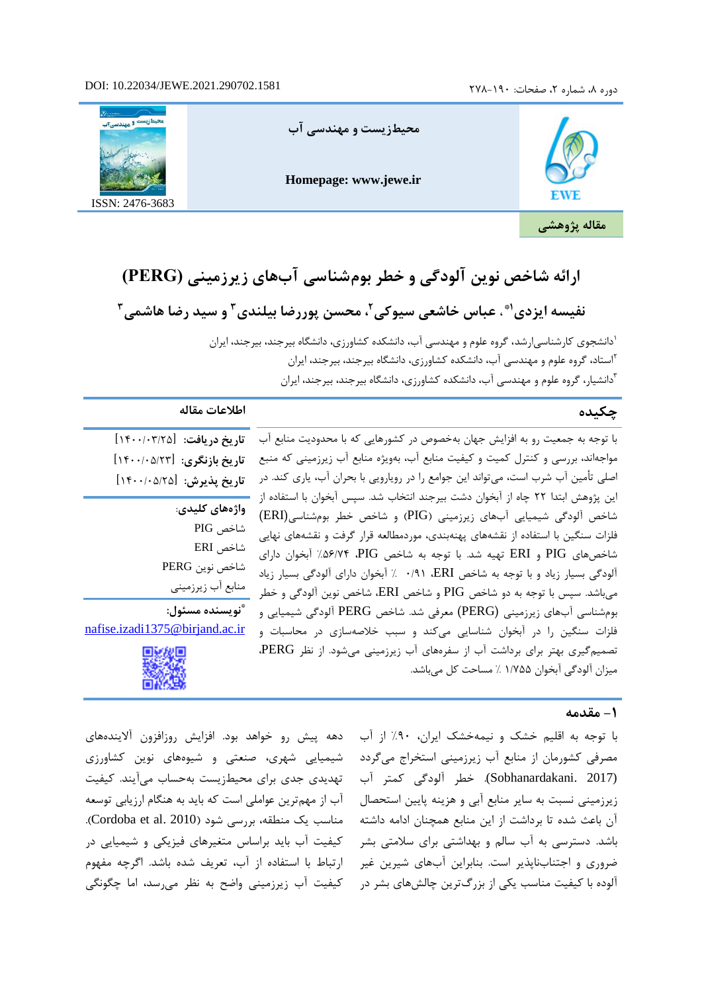### DOI: 10.22034/JEWE.2021.290702.1581

دوره ۸، شماره ۲، صفحات: ۱۹۰-۲۷۸



# **ارائه شاخص نوین آلودگی و خطر بومشناسی آب های زیرزمینی (PERG(**

نفیسه ایزدی'**\* ، عباس خاشعی سیوکی<sup>۲</sup> ، محسن پوررضا بیلندی <sup>۳</sup> و سید رضا هاشمی <sup>۳</sup>** 

1 دانشجو ی کارشناسیارشد، گروه علوم و مهندسی آب، دانشکده کشاورزی، دانشگاه بیرجند، بیرجند، ایران استاد، گروه علوم و مهندسی آب، دانشکده کشاورزی، دانشگاه بیرجند، بیرجند، ایران <sup>2</sup> 3 دانشیار، گروه علوم و مهندسی آب، دانشکده کشاورزی، دانشگاه بیرجند، بیرجند، ایران

| چکیده                                                                                                                                                                                                                                                                                                                                                                                                                                                                      | اطلاعات مقاله                                                                          |
|----------------------------------------------------------------------------------------------------------------------------------------------------------------------------------------------------------------------------------------------------------------------------------------------------------------------------------------------------------------------------------------------------------------------------------------------------------------------------|----------------------------------------------------------------------------------------|
| با توجه به جمعیت رو به افزایش جهان بهخصوص در کشورهایی که با محدودیت منابع آب<br>مواجهاند، بررسی و کنترل کمیت و کیفیت منابع آب، بهویژه منابع آب زیرزمینی که منبع<br>اصلی تأمین آب شرب است، میتواند این جوامع را در رویارویی با بحران آب، یاری کند. در                                                                                                                                                                                                                       | تاريخ دريافت: [١٤٠٠/٠٣/٢٥]<br>تاريخ بازنگري: [١٤٠٠/٠٥/٢٣]<br>تاريخ پذيرش: [١۴٠٠/٠۵/٢٥] |
| این پژوهش ابتدا ۲۲ چاه از آبخوان دشت بیرجند انتخاب شد. سپس آبخوان با استفاده از<br>شاخص آلودگی شیمیایی آبهای زیرزمینی (PIG) و شاخص خطر بومشناسی(ERI)<br>فلزات سنگین با استفاده از نقشههای پهنهبندی، موردمطالعه قرار گرفت و نقشههای نهایی<br>شاخصهای PIG و ERI تهیه شد. با توجه به شاخص PIG، ۵۶/۷۴٪ آبخوان دارای<br>آلودگی بسیار زیاد و با توجه به شاخص ERI، ۰/۹۱ ٪ آبخوان دارای آلودگی بسیار زیاد<br>میباشد. سپس با توجه به دو شاخص PIG و شاخص ERI، شاخص نوین آلودگی و خطر | واژەهاي كليدى:<br>شاخص PIG<br>شاخص ERI<br>شاخص نوين PERG<br>منابع أب زيرزميني          |
| بومشناسی آبهای زیرزمینی (PERG) معرفی شد. شاخص PERG آلودگی شیمیایی و<br>فلزات سنگین را در آبخوان شناسایی میکند و سبب خلاصهسازی در محاسبات و<br>تصمیمگیری بهتر برای برداشت آب از سفرههای آب زیرزمینی میشود. از نظر PERG،<br>ميزان آلودگي آبخوان ۱/۷۵۵ ٪ مساحت كل ميباشد.                                                                                                                                                                                                     | أنويسنده مسئول:<br>nafise.izadi1375@birjand.ac.ir                                      |



### **-1 مقدمه**

با توجه به اقلیم خشک و نیمهخشک ایران، ۹۰٪ از اب دهه پیش رو خواهد بود. افزایش روزافزون الایندههای مصرفی کشورمان از منابع اب زیرزمینی استخراج میگردد شیمیایی شهری، صنعتی و شیوههای نوین کشاورزی الوده با کیفیت مناسب یکی از بزرگترین چالشهای بشر در ۔ کیفیت اب زیرزمینی واضح به نظر میرسد، اما چگونگی تهدیدی جدی برای محیط زیست بهحساب میآیند. کیفیت آب از مهمترین عواملی است که باید به هنگام ارزیابی توسعه مناسب یک منطقه، بررسی شود (Cordoba et al. 2010). کیفیت آب باید براساس متغیرهای فیزیکی و شیمیایی در ارتباط با استفاده از آب، تعریف شده باشد. اگرچه مفهوم

(2017 .Sobhanardakani(. خطر آلودگی کمتر آب زیرزمینی نسبت به سایر منابع آبی و هزینه پایین استحصال آن باعث شده تا برداشت از این منابع همچنان ادامه داشته باشد. دسترسی به آب سالم و بهداشتی برای سالمتی بشر ضروری و اجتناب ناپذیر است. بنابراین آبهای شیرین غیر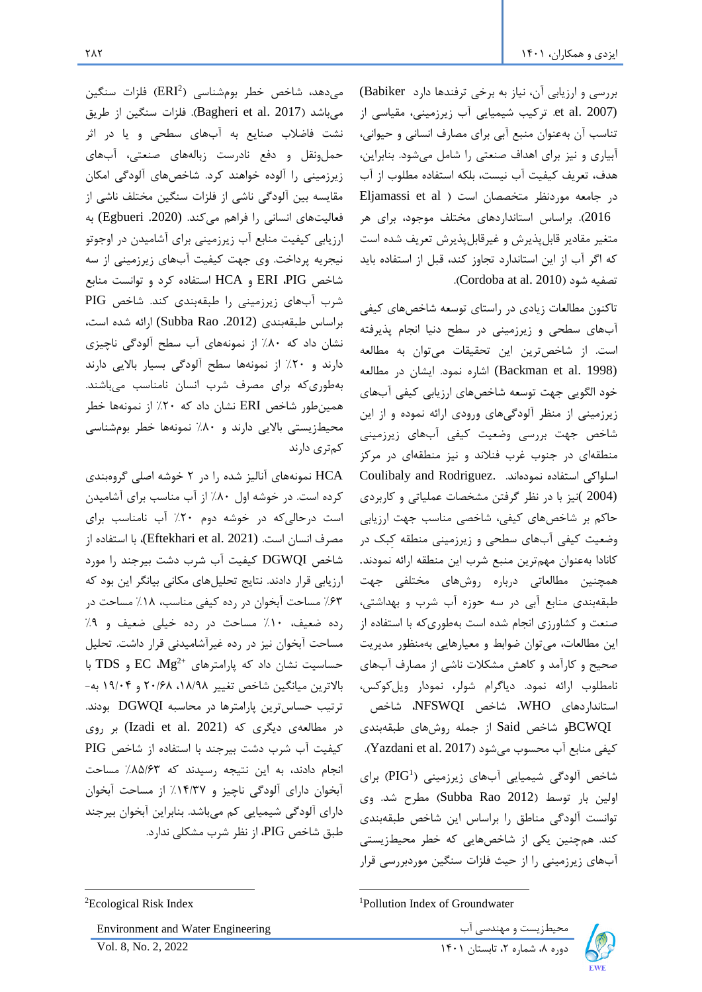بررسی و ارزیابی آن، نیاز به برخی ترفندها دارد Babiker( (2007 .al et. ترکیب شیمیایی آب زیرزمینی، مقیاسی از تناسب آن بهعنوان منبع آبی برای مصارف انسانی و حیوانی، آبیاری و نیز برای اهداف صنعتی را شامل میشود. بنابراین، هدف، تعریف کیفیت آب نیست، بلکه استفاده مطلوب از آب در جامعه موردنظر متخصصان است ( Eljamassi et al 2016(. براساس استانداردهای مختلف موجود، برای هر متغیر مقادیر قابلپذیرش و غیرقابلپذیرش تعریف شده است که اگر آب از این استاندارد تجاوز کند، قبل از استفاده باید .)Cordoba at al. 2010( شود تصفیه

تاکنون مطالعات زیادی در راستای توسعه شاخصهای کیفی آب های سطحی و زیرزمینی در سطح دنیا انجام پذیرفته است. از شاخصترین این تحقیقات میتوان به مطالعه (1998 .Backman et al) اشاره نمود. ایشان در مطالعه خود الگویی جهت توسعه شاخصهای ارزیابی کیفی آبهای زیرزمینی از منظر آلودگیهای ورودی ارائه نموده و از این شاخص جهت بررسی وضعیت کیفی آبهای زیرزمینی منطقه ای در جنوب غرب فنالند و نیز منطقهای در مرکز اسلواکی استفاده نمودهاند. .Rodriguez and Coulibaly (2004 )نیز با در نظر گرفتن مشخصات عملیاتی و کاربردی حاکم بر شاخصهای کیفی، شاخصی مناسب جهت ارزیابی وضعیت کیفی آب های سطحی و زیرزمینی منطقه کِبک در کانادا بهعنوان مهمترین منبع شرب این منطقه ارائه نمودند. همچنین مطالعاتی درباره روشهای مختلفی جهت طبقه بندی منابع آبی در سه حوزه آب شرب و بهداشتی، صنعت و کشاورزی انجام شده است بهطوری که با استفاده از این مطالعات، میتوان ضوابط و معیارهایی بهمنظور مدیریت صحیح و کارآمد و کاهش مشکال ت ناشی از مصارف آبهای نامطلوب ارائه نمود. دیاگرام شولر، نمودار ویلکوکس، استانداردهای WHO، شاخص NFSWQI، شاخص

BCWQIو شاخص Said از جمله روش های طبقهبندی کیفی منابع آب محسوب میشود (Yazdani et al. 2017).

1 شاخص آلودگی شیمیایی آبهای زیرزمینی ) PIG )برای اولین بار توسط )2012 Rao Subba )مطرح شد. وی توانست آلودگی مناطق را براساس این شاخص طبقهبندی کند. همچنین یکی از شاخصهایی که خطر محیطزیستی آب های زیرزمینی را از حیث فلزات سنگین موردبررسی قرار

<sup>1</sup>Pollution Index of Groundwater



HCA نمونههای آنالیز شده را در 2 خوشه اصلی گروهبندی کرده است. در خوشه اول %80 از آب مناسب برای آشامیدن است درحالیکه در خوشه دوم %20 آب نامناسب برای مصرف انسان است. (Eftekhari et al. 2021)، با استفاده از شاخص DGWQI کیفیت آب شرب دشت بیرجند را مورد ارزیابی قرار دادند. نتایج تحلیلهای مکانی بیانگر این بود که %63 مساحت آبخوان در رده کیفی مناسب، %18 مساحت در رده ضعیف، %10 مساحت در رده خیلی ضعیف و %9 مساحت آبخوان نیز در رده غیرآشامیدنی قرار داشت. تحلیل با TDS و EC Mg<sup>2+</sup> حساسیت نشان داد که پارامترهای <sup>42+</sup>EC Mg باالترین میانگین شاخص تغییر ،18/98 20/68 و 19/04 به- ترتیب حساس ترین پارامترها در محاسبه DGWQI بودند. در مطالعهی دیگری که (Izadi et al. 2021) بر روی کیفیت آب شرب دشت بیرجند با استفاده از شاخص PIG انجام دادند، به این نتیجه رسیدند که %85/63 مساحت آبخوان دارای آلودگی ناچیز و %14/37 از مساحت آبخوان دارای آلودگی شیمیایی کم میباشد. بنابراین آبخوان بیرجند طبق شاخص PIG، از نظر شرب مشکلی ندارد.

محیطزیست و مهندسی آب Environment and Water Engineering میندسی آب است از تصنی است که در است و مهندسی آب



<sup>&</sup>lt;sup>2</sup>Ecological Risk Index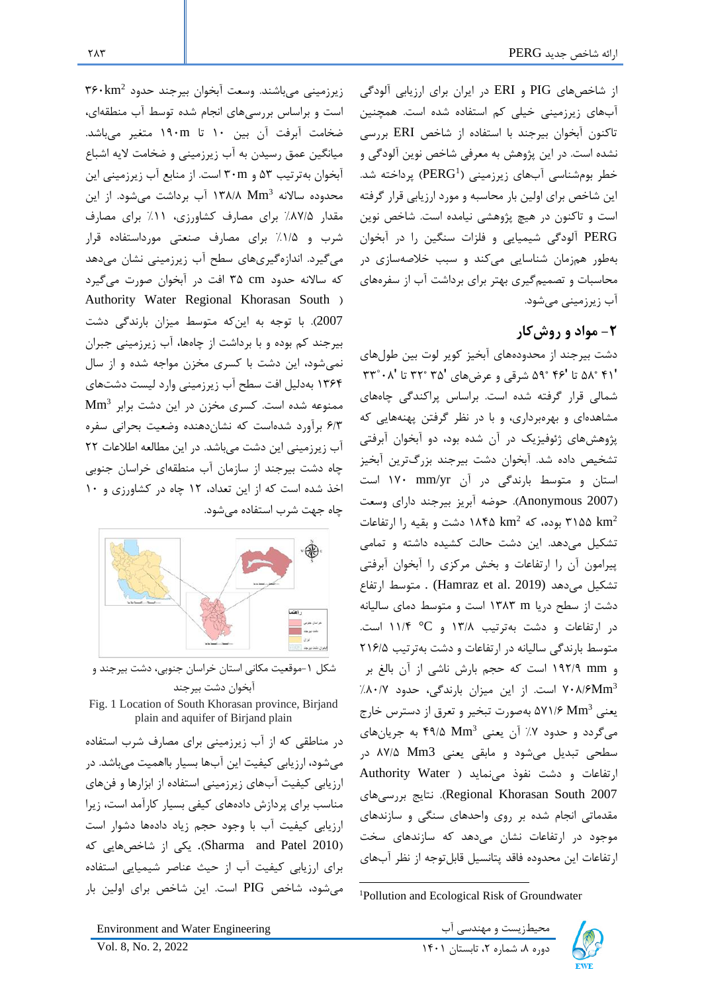از شاخص های PIG و ERI در ایران برای ارزیابی آلودگی آب های زیرزمینی خیلی کم استفاده شده است. همچنین تاکنون آبخوان بیرجند با استفاده از شاخص ERI بررسی نشده است. در این پژوهش به معرفی شاخص نوین آلودگی و خطر بومشناسی آبهای زیرزمینی (PERG<sup>1</sup>) پرداخته شد. این شاخص برای اولین بار محاسبه و مورد ارزیابی قرار گرفته است و تاکنون در هیچ پژوهشی نیامده است. شاخص نوین PERG آلودگی شیمیایی و فلزات سنگین را در آبخوان بهطور همزمان شناسایی میکند و سبب خالصهسازی در محاسبات و تصمیمگیری بهتر برای برداشت آب از سفرههای آب زیرزمینی میشود.

# **-2 مواد و روشکار**

دشت بیرجند از محدودههای آبخیز کویر لوت بین طولهای ʹ41 ˚58 تا ʹ46 ˚59 شرقی و عرضهای ʹ35 ˚32 تا ʹ08˚33 شمالی قرار گرفته شده است. براساس پراکندگی چاههای مشاهد های و بهرهبرداری، و با در نظر گرفتن پهنههایی که پژوهشهای ژئوفیزیک در آن شده بود، دو آبخوان آبرفتی تشخیص داده شد. آبخوان دشت بیرجند بزرگترین آبخیز استان و متوسط بارندگی در آن yr/mm 170 است )2007 Anonymous). حوضه آبریز بیرجند دارای وسعت بوده، که ۱۸۴۵ km<sup>2</sup> دشت و بقیه را ارتفاعات  $\times$ ۱۸۴۵  $\rm km^2$ تشکیل میدهد. این دشت حالت کشیده داشته و تمامی پیرامون آن را ارتفاعات و بخش مرکزی را آبخوان آبرفتی تشکیل میدهد (2019 .Hamraz et al (2019) . متوسط ارتفاع دشت از سطح دریا m 1383 است و متوسط دمای سالیانه در ارتفاعات و دشت بهترتیب 13/8 و C° 11/4 است. متوسط بارندگی سالیانه در ارتفاعات و دشت بهترتیب 216/5 و mm 192/9 است که حجم بارش ناشی از آن بالغ بر ۷۰۸/۶Mm<sup>3</sup> است. از این میزان بارندگی، حدود ۸۰/۷٪ یعنی  $\sim 2$ ۹۷۱/۶ بهصورت تبخیر و تعرق از دسترس خارج میگردد و حدود ۷٪ آن یعنی Mm3 ۴۹/۵ به جریانهای سطحی تبدیل میشود و مابقی یعنی 3Mm 87/5 در ارتفاعات و دشت نفوذ مینماید ( Authority Water بررسیهای نتایج .(Regional Khorasan South 2007 مقدماتی انجام شده بر روی واحدهای سنگی و سازندهای موجود در ارتفاعات نشان میدهد که سازندهای سخت ارتفاعات این محدوده فاقد پتانسیل قابلتوجه از نظر آب های

است و براساس بررسیهای انجام شده توسط آب منطقهای، ضخامت آبرفت آن بین 10 تا m190 متغیر میباشد. میانگین عمق رسیدن به آب زیرزمینی و ضخامت الیه اشباع آبخوان بهترتیب 53 و m30 است. از منابع آب زیرزمینی این محدوده سالانه ۱۳۸/۸ Mm<sup>3</sup> آب برداشت میشود. از این مقدار %87/5 برای مصارف کشاورزی، %11 برای مصارف شرب و %1/5 برای مصارف صنعتی مورداستفاده قرار میگیرد. اندازهگیریهای سطح آب زیرزمینی نشان میدهد که ساالنه حدود cm 35 افت در آبخوان صورت میگیرد Authority Water Regional Khorasan South ( 2007(. با توجه به اینکه متوسط میزان بارندگی دشت بیرجند کم بوده و با برداشت از چاهها، آب زیرزمینی جبران نمیشود، این دشت با کسری مخزن مواجه شده و از سال 1364 بهدلیل افت سطح آب زیرزمینی وارد لیست دشتهای Mm<sup>3</sup> ممنوعه شده است. کسری مخزن در این دشت برابر 6/3 برآورد شدهاست که نشاندهنده وضعیت بحرانی سفره آب زیرزمینی این دشت میباشد. در این مطالعه اطالعات 22 چاه دشت بیرجند از سازمان آب منطقهای خراسان جنوبی اخذ شده است که از این تعداد، 12 چاه در کشاورزی و 10 چاه جهت شرب استفاده میشود.

زیرزمینی میباشند. وسعت آبخوان بیرجند حدود 2 360km



آبخوان دشت بیرجند Fig. 1 Location of South Khorasan province, Birjand

plain and aquifer of Birjand plain

در مناطقی که از آب زیرزمینی برای مصارف شرب استفاده میشود، ارزیابی کیفیت این آبها بسیار بااهمیت میباشد. در ارزیابی کیفیت آبهای زیرزمینی استفاده از ابزارها و فنهای مناسب برای پردازش داده های کیفی بسیار کارآمد است، زیرا ارزیابی کیفیت آب با وجود حجم زیاد دادهها دشوار است )2010 Patel and Sharma ). یکی از شاخصهایی که برای ارزیابی کیفیت آب از حیث عناصر شیمیایی استفاده میشود، شاخص PIG است. این شاخص برای اولین بار

محیطزیست و مهندسی آب Engineering Water and Environment

دوره ۸، شماره ۲، تابستان ۱۴۰۱ کال ۱۴۰۱ 2022 . Vol. 8, No. 2, 2022



<sup>1</sup>Pollution and Ecological Risk of Groundwater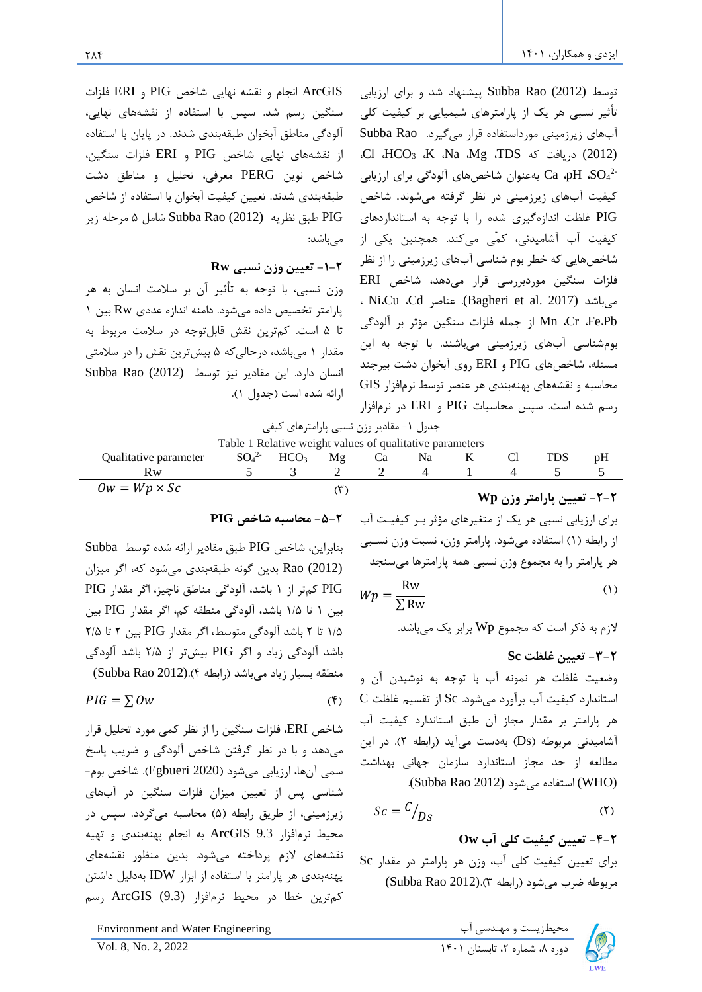ArcGIS انجام و نقشه نهایی شاخص PIG و ERI فلزات سنگین رسم شد. سپس با استفاده از نقشههای نهایی، آلودگی مناطق آبخوان طبقه بندی شدند. در پایان با استفاده از نقشه های نهایی شاخص PIG و ERI فلزات سنگین، شاخص نوین PERG معرفی، تحلیل و مناطق دشت طبقه بندی شدند. تعیین کیفیت آبخوان با استفاده از شاخص PIG طبق نظریه (2012) Rao Subba شامل 5 مرحله زیر مے باشد:

# **-1-2 تعیین وزن نسبی Rw**

وزن نسبی، با توجه به تأثیر آن بر سالمت انسان به هر پارامتر تخصیص داده میشود. دامنه اندازه عددی Rw بین 1 تا 5 است. کمترین نقش قابلتوجه در سالمت مربوط به مقدار 1 میباشد، درحالیکه 5 بیشترین نقش را در سالمتی انسان دارد. این مقادیر نیز توسط (2012) Rao Subba ارائه شده است (جدول ١).

توسط (2012) Rao Subba پیشنهاد شد و برای ارزیابی تأثیر نسبی هر یک از پارامترهای شیمیایی بر کیفیت کلی آب های زیرزمینی مورداستفاده قرار میگیرد. Rao Subba ،Cl ،HCO<sub>3</sub> ،K ،Na ،Mg ،TDS دریافت که  $(2012)$ 2- <sup>4</sup>SO، pH، Ca بهعنوان شاخصهای آلودگی برای ارزیابی کیفیت آب های زیرزمینی در نظر گرفته میشوند. شاخص PIG غلظت اندازهگیری شده را با توجه به استانداردهای کیفیت آب آشامیدنی، کمّی میکند. همچنین یکی از شاخصهایی که خطر بوم شناسی آبهای زیرزمینی را از نظر فلزات سنگین موردبررسی قرار میدهد، شاخص ERI ، Ni،Cu ،Cd عناصر .)Bagheri et al. 2017) میباشد Pb،Fe، Cr، Mn از جمله فلزات سنگین مؤثر بر آلودگی بومشناسی آبهای زیرزمینی میباشند. با توجه به این مسئله، شاخصهای PIG و ERI روی آبخوان دشت بیرجند محاسبه و نقشههای پهنهبندی هر عنصر توسط نرمافزار GIS رسم شده است. سپس محاسبات PIG و ERI در نرمافزار

جدول ۱- مقادیر وزن نسبی پارامترهای کیفی Table 1 Relative weight values of qualitative parameters

| Qualitative parameter | $C0$ .2- | ⊔പ | M₫ | Ca | Na | C1 |                                                                   |  |
|-----------------------|----------|----|----|----|----|----|-------------------------------------------------------------------|--|
| Kw                    |          |    |    |    |    |    |                                                                   |  |
| $0w = Wp \times Sc$   |          |    |    |    |    |    | $Wn$ $\ldots$ $n$ $\ldots$ $n$ $\ldots$ $\mathbf{v}$ $\mathbf{v}$ |  |

#### **-5-2 محاسبه شاخص PIG**

بنابراین، شاخص PIG طبق مقادیر ارائه شده توسط Subba (2012) Rao بدین گونه طبقه بندی میشود که، اگر میزان PIG کمتر از 1 باشد، آلودگی مناطق ناچیز، اگر مقدار PIG بین 1 تا 1/5 باشد، آلودگی منطقه کم، اگر مقدار PIG بین 1/5 تا 2 باشد آلودگی متوسط، اگر مقدار PIG بین 2 تا 2/5 باشد آلودگی زیاد و اگر PIG بیشتر از 2/5 باشد آلودگی منطقه بسیار زیاد میباشد )رابطه 4(.(2012 Rao Subba(

$$
PIG = \sum Ow \tag{5}
$$

شاخص ERI، فلزات سنگین را از نظر کمی مورد تحلیل قرار میدهد و با در نظر گرفتن شاخص آلودگی و ضریب پاسخ سمی آنها، ارزیابی میشود )2020 Egbueri). شاخص بوم- شناسی پس از تعیین میزان فلزات سنگین در آب های زیرزمینی، از طریق رابطه (۵) محاسبه میگردد. سپس در محیط نرمافزار 9.3 ArcGIS به انجام پهنهبندی و تهیه نقشه های الزم پرداخته میشود. بدین منظور نقشه های پهنهبندی هر پارامتر با استفاده از ابزار IDW بهدلیل داشتن کمترین خطا در محیط نرمافزار (9.3) ArcGIS رسم

محیطزیست و مهندسی آب Environment and Water Engineering است و مهندسی آب

**-2-2 تعیین پارامتر وزن Wp**

برای ارزیابی نسبی هر یک از متغیرهای مؤثر برر کیفیرت آب از رابطه )1( استفاده میشود. پارامتر وزن، نسبت وزن نسربی هر پارامتر را به مجموع وزن نسبی همه پارامترها میسنجد  $Wp = \frac{RW}{SDR}$  (1) Rw

$$
p = \frac{1}{\sum \text{Rw}}
$$

الزم به ذکر است که مجموع Wp برابر یک میباشد.

**-3-2 تعیین غلظت Sc**

وضعیت غلظت هر نمونه آب با توجه به نوشیدن آن و استاندارد کیفیت آب برآورد میشود. Sc از تقسیم غلظت C هر پارامتر بر مقدار مجاز آن طبق استاندارد کیفیت آب آشامیدنی مربوطه )Ds )بهدست میآید )رابطه 2(. در این مطالعه از حد مجاز استاندارد سازمان جهانی بهداشت .(Subba Rao 2012) میشود استفاده) WHO)

$$
Sc = \frac{C}{D_S} \tag{5}
$$

**-4-2 تعیین کیفیت کلی آب Ow** برای تعیین کیفیت کلی آب، وزن هر پارامتر در مقدار Sc مربوطه ضرب میشود )رابطه 3(.(2012 Rao Subba(

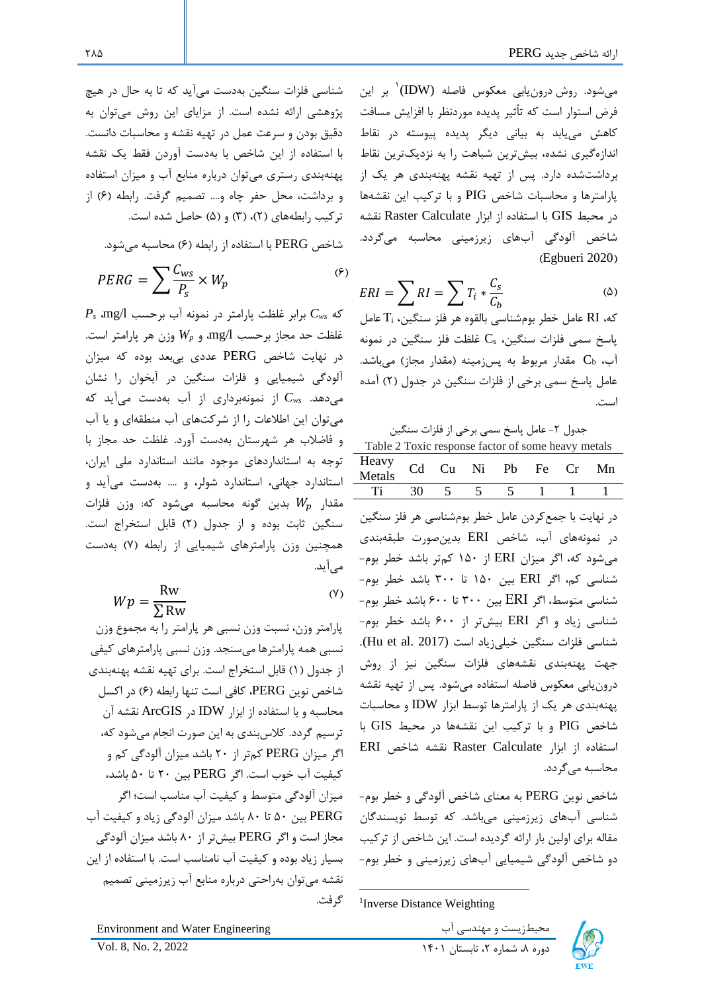میشود. روش درونیابی معکوس فاصله (IDW( 1 بر این فرض استوار است که تاًثیر پدیده موردنظر با افزایش مسافت کاهش مییابد به بیانی دیگر پدیده پیوسته در نقاط اندازهگیری نشده، بیشترین شباهت را به نزدیکترین نقاط برداشت شده دارد. پس از تهیه نقشه پهنه بندی هر یک از پارامترها و محاسبات شاخص PIG و با ترکیب این نقشه ها در محیط GIS با استفاده از ابزار Calculate Raster نقشه شاخص آلودگی آبهای زیرزمینی محاسبه میگردد. (Egbueri 2020)

$$
ERI = \sum RI = \sum T_i * \frac{C_s}{C_b} \tag{a}
$$

که، RI عامل خطر بومشناسی بالقوه هر فلز سنگین، T<sup>i</sup> عامل پاسخ سمی فلزات سنگین،  $\rm C_s$  غلظت فلز سنگین در نمونه آب،  $\mathbf{C}_{\mathbf{b}}$  مقدار مربوط به پسزمینه (مقدار مجاز) میباشد. عامل پاسخ سمی برخی از فلزات سنگین در جدول )2( آمده است.

جدول ۲- عامل پاسخ سمی برخی از فلزات سنگین

| Table 2 Toxic response factor of some heavy metals        |  |  |  |  |  |  |  |  |  |
|-----------------------------------------------------------|--|--|--|--|--|--|--|--|--|
| Heavy Cd Cu Ni Pb Fe Cr Mn<br>Metals Cd Cu Ni Pb Fe Cr Mn |  |  |  |  |  |  |  |  |  |
| Ti 30 5 5 5 1 1 1                                         |  |  |  |  |  |  |  |  |  |

در نهایت با جمعکردن عامل خطر بومشناسی هر فلز سنگین در نمونههای آب، شاخص ERI بدینصورت طبقه بندی میشود که، اگر میزان ERI از 150 کمتر باشد خطر بوم- شناسی کم، اگر ERI بین 150 تا 300 باشد خطر بوم- شناسی متوسط، اگر ERI بین 300 تا 600 باشد خطر بوم- شناسی زیاد و اگر ERI بیشتر از 600 باشد خطر بوم- شناسی فلزات سنگین خیلی زیاد است (2017 .Hu et al. جهت پهنهبندی نقشههای فلزات سنگین نیز از روش درونیابی معکوس فاصله استفاده میشود. پس از تهیه نقشه پهنهبندی هر یک از پارامترها توسط ابزار IDW و محاسبات شاخص PIG و با ترکیب این نقشه ها در محیط GIS با استفاده از ابزار Calculate Raster نقشه شاخص ERI محاسبه میگردد.

شاخص نوین PERG به معنای شاخص آلودگی و خطر بوم- شناسی آبهای زیرزمینی میباشد. که توسط نویسندگان مقاله برای اولین بار ارائه گردیده است. این شاخص از ترکیب دو شاخص آلودگی شیمیایی آبهای زیرزمینی و خطر بوم-

شناسی فلزات سنگین بهدست میآید که تا به حال در هیچ پژوهشی ارائه نشده است. از مزایای این روش میتوان به دقیق بودن و سرعت عمل در تهیه نقشه و محاسبات دانست. با استفاده از این شاخص با بهدست آوردن فقط یک نقشه پهنهبندی رستری میتوان درباره منابع آب و میزان استفاده و برداشت، محل حفر چاه و.... تصمیم گرفت. رابطه (۶) از  $\mathfrak{m}$ تر کیب رابطههای (۲)، (۳) و (۵) حاصل شده است.

شاخص PERG با استفاده از رابطه (۶) محاسبه می شود.

$$
PERG = \sum \frac{C_{ws}}{P_s} \times W_p \tag{9}
$$

که *Cws* برابر غلظت پارامتر در نمونه آب برحسب l/mg، *P<sup>s</sup>* غلظت حد مجاز برحسب l/mg، و *Wp* وزن هر پارامتر است. در نهایت شاخص PERG عددی بیبعد بوده که میزان آلودگی شیمیایی و فلزات سنگین در آبخوان را نشان میدهد. *Cws* از نمونه برداری از آب بهدست میآید که میتوان این اطالعات را از شرکت های آب منطقه ای و یا آب و فاضالب هر شهرستان بهدست آورد. غلظت حد مجاز با توجه به استانداردهای موجود مانند استاندارد ملی ایران، استاندارد جهانی، استاندارد شولر، و .... بهدست میآید و مقدار  $W_p$  بدین گونه محاسبه میشود که: وزن فلزات سنگین ثابت بوده و از جدول )2( قابل استخراج است. همچنین وزن پارامترهای شیمیایی از رابطه )7( بهدست میآید.

$$
Wp = \frac{\text{Rw}}{\sum \text{Rw}} \tag{Y}
$$

پارامتر وزن، نسبت وزن نسبی هر پارامتر را به مجموع وزن نسبی همه پارامترها میسنجد. وزن نسبی پارامترهای کیفی از جدول )1( قابل استخراج است. برای تهیه نقشه پهنه بندی شاخص نوین PERG، کافی است تنها رابطه )6( در اکسل محاسبه و با استفاده از ابزار IDW در ArcGIS نقشه آن ترسیم گردد. کالسبندی به این صورت انجام میشود که، اگر میزان PERG کمتر از 20 باشد میزان آلودگی کم و کیفیت آب خوب است. اگر PERG بین 20 تا 50 باشد، میزان آلودگی متوسط و کیفیت آب مناسب است؛ اگر PERG بین 50 تا 80 باشد میزان آلودگی زیاد و کیفیت آب مجاز است و اگر PERG بیشتر از 80 باشد میزان آلودگی بسیار زیاد بوده و کیفیت آب نامناسب است. با استفاده از این نقشه میتوان به راحتی درباره منابع آب زیرزمینی تصمیم گرفت.

محیطزیست و مهندسی آب Engineering Water and Environment

<sup>1</sup> Inverse Distance Weighting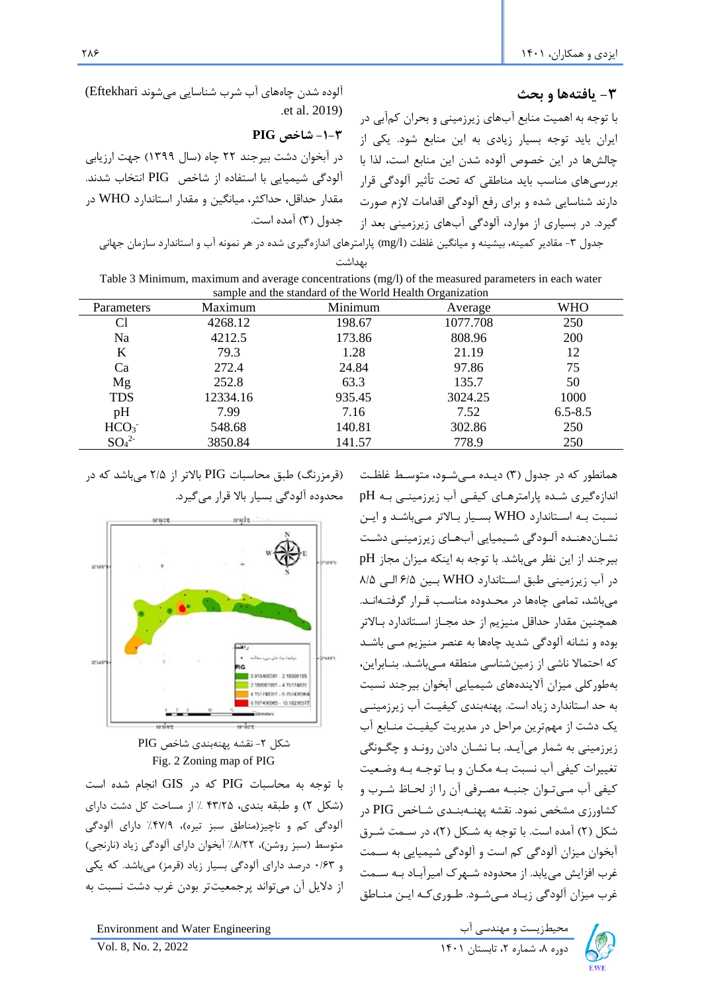### **-3 یافتهها و بحث**

با توجه به اهمیت منابع آبهای زیرزمینی و بحران کمآبی در ایران باید توجه بسیار زیادی به این منابع شود. یکی از چالشها در این خصوص آلوده شدن این منابع است، لذا با بررسیهای مناسب باید مناطقی که تحت تأثیر آلودگی قرار دارند شناسایی شده و برای رفع آلودگی اقدامات الزم صورت گیرد. در بسیاری از موارد، آلودگی آبهای زیرزمینی بعد از

همانطور که در جدول )3( دیرده مریشرود، متوسرط غلظرت اندازهگیری شده پارامترهای کیفی آب زیرزمینی به pH نسبت بره اسرتاندارد WHO بسریار براالتر مریباشرد و ایرن نشـاندهنـده آلـودگی شـیمیایی آبهـای زیرزمینـی دشـت بیرجند از این نظر میباشد. با توجه به اینکه میزان مجاز pH در آب زیرزمینی طبق اسرتاندارد WHO برین 6/5 الری 8/5 میباشد، تمامی چاهها در محردوده مناسرب قررار گرفترهانرد. همچنین مقدار حداقل منیزیم از حد مجراز اسرتاندارد براالتر بوده و نشانه آلودگی شدید چاهها به عنصر منیزیم مری باشرد که احتماال ناشی از زمینشناسی منطقه مریباشرد. بنرابراین، بهطورکلی میزان آالیندههای شیمیایی آبخوان بیرجند نسبت به حد استاندارد زیاد است. پهنهبندی کیفیرت آب زیرزمینری یک دشت از مهمترین مراحل در مدیریت کیفیرت منرابع آب زیرزمینی به شمار میآیرد. برا نشران دادن رونرد و چگرونگی تغییرات کیفی آب نسبت بره مکران و برا توجره بره وضرعیت کیفی آب مےتوان جنبـه مصـرفی آن را از لحـاظ شـرب و کشاورزی مشخص نمود. نقشه پهنــهبنــدی شــاخص PIG در شکل )2( آمده است. با توجه به شرکل )2(، در سرمت شررق آبخوان میزان آلودگی کم است و آلودگی شیمیایی به سرمت غرب افزایش می یابد. از محدوده شـهرک امیرآبـاد بـه سـمت غرب میزان آلودگی زیراد مریشرود. طروریکره ایرن منراطق

آلوده شدن چاههای آب شرب شناسایی میشوند Eftekhari( .et al. 2019)

#### **-1-3 شاخص PIG**

در آبخوان دشت بیرجند ٢٢ چاه (سال ١٣٩٩) جهت ارزیابی آلودگی شیمیایی با استفاده از شاخص PIG انتخاب شدند. مقدار حداقل، حداکثر، میانگین و مقدار استاندارد WHO در جدول (۳) آمده است.

جدول ۳- مقادیر کمینه، بیشینه و میانگین غلظت (mg/l) پارامترهای اندازهگیری شده در هر نمونه آب و استاندارد سازمان جهانی بهداشت

| Table 3 Minimum, maximum and average concentrations (mg/l) of the measured parameters in each water<br>sample and the standard of the World Health Organization |         |         |            |            |  |  |  |  |
|-----------------------------------------------------------------------------------------------------------------------------------------------------------------|---------|---------|------------|------------|--|--|--|--|
|                                                                                                                                                                 |         |         |            |            |  |  |  |  |
| Parameters                                                                                                                                                      | Maximum | Minimum | $A$ verage | <b>WHO</b> |  |  |  |  |

| Parameters                   | Maximum  | Minimum | Average  | <b>WHO</b>  |
|------------------------------|----------|---------|----------|-------------|
| Cl                           | 4268.12  | 198.67  | 1077.708 | 250         |
| Na                           | 4212.5   | 173.86  | 808.96   | 200         |
| K                            | 79.3     | 1.28    | 21.19    | 12          |
| Ca                           | 272.4    | 24.84   | 97.86    | 75          |
| Mg                           | 252.8    | 63.3    | 135.7    | 50          |
| <b>TDS</b>                   | 12334.16 | 935.45  | 3024.25  | 1000        |
| pH                           | 7.99     | 7.16    | 7.52     | $6.5 - 8.5$ |
| HCO <sub>3</sub>             | 548.68   | 140.81  | 302.86   | 250         |
| SO <sub>4</sub> <sup>2</sup> | 3850.84  | 141.57  | 778.9    | 250         |

)قرمزرنگ( طبق محاسبات PIG باالتر از 2/5 میباشد که در محدوده آلودگی بسیار باال قرار میگیرد.





با توجه به محاسبات PIG که در GIS انجام شده است )شکل 2( و طبقه بندی، 43/25 % از مساحت کل دشت دارای آلودگی کم و ناچیز(مناطق سبز تیره)، ۴۷/۹٪ دارای آلودگی متوسط (سبز روشن)، ۸/۲۲/ آبخوان دارای آلودگی زیاد (نارنجی) و 0/63 درصد دارای آلودگی بسیار زیاد )قرمز( می باشد. که یکی از دالیل آن میتواند پرجمعیتتر بودن غرب دشت نسبت به

محیطزیست و مهندسی آب Engineering Water and Environment

دوره ۸، شماره ۲، تابستان ۱۴۰۱ کال ۱۴۰۱ استان ۷۵۱. 8, No. 2, 2022



286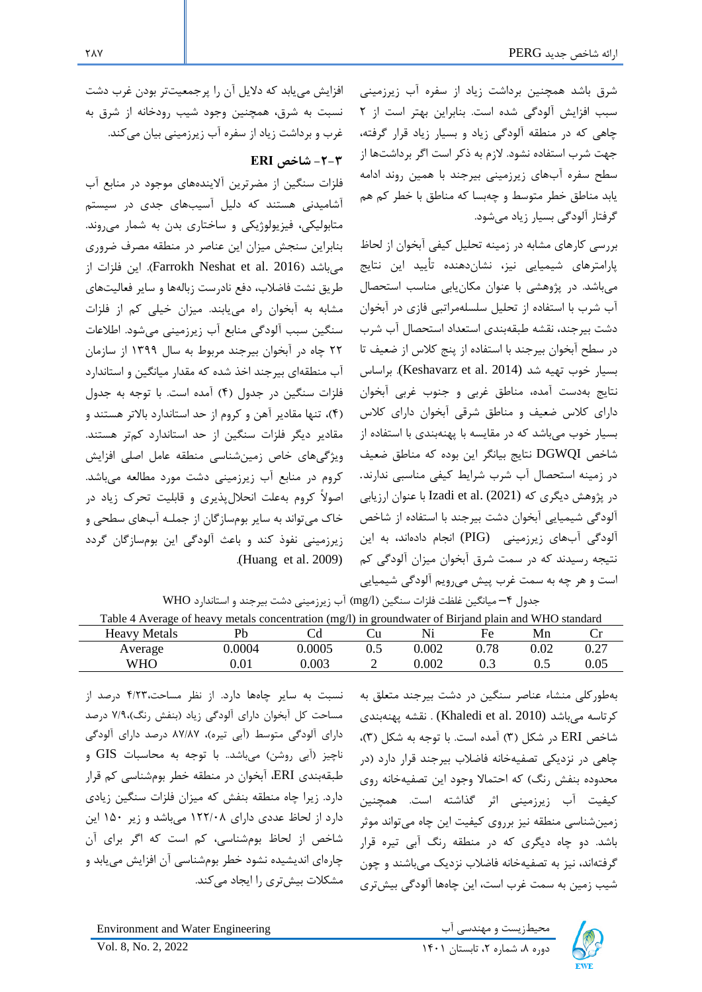شرق باشد همچنین برداشت زیاد از سفره آب زیرزمینی سبب افزایش آلودگی شده است. بنابراین بهتر است از 2 چاهی که در منطقه آلودگی زیاد و بسیار زیاد قرار گرفته، جهت شرب استفاده نشود. الزم به ذکر است اگر برداشتها از سطح سفره آبهای زیرزمینی بیرجند با همین روند ادامه یابد مناطق خطر متوسط و چه بسا که مناطق با خطر کم هم گرفتار آلودگی بسیار زیاد میشود.

بررسی کارهای مشابه در زمینه تحلیل کیفی آبخوان از لحاب پارامترهای شیمیایی نیز، نشاندهنده تأیید این نتایج میباشد. در پژوهشی با عنوان مکانیابی مناسب استحصال آب شرب با استفاده از تحلیل سلسله مراتبی فازی در آبخوان دشت بیرجند، نقشه طبقهبندی استعداد استحصال آب شرب در سطح آبخوان بیرجند با استفاده از پنج کالس از ضعیف تا بسیار خوب تهیه شد (Keshavarz et al. 2014). براساس نتایج بهدست آمده، مناطق غربی و جنوب غربی آبخوان دارای کالس ضعیف و مناطق شرقی آبخوان دارای کالس بسیار خوب میباشد که در مقایسه با پهنهبندی با استفاده از شاخص DGWQI نتایج بیانگر این بوده که مناطق ضعیف در زمینه استحصال آب شرب شرایط کیفی مناسبی ندارند. در پژوهش دیگری که (2021) .al et Izadi با عنوان ارزیابی آلودگی شیمیایی آبخوان دشت بیرجند با استفاده از شاخص آلودگی آبهای زیرزمینی (PIG) انجام دادهاند، به این نتیجه رسیدند که در سمت شرق آبخوان میزان آلودگی کم است و هر چه به سمت غرب پیش میرویم آلودگی شیمیایی جدول 4– میانگین غلظت فلزات سنگین )l/mg )آب زیرزمینی دشت بیرجند و استاندارد WHO

افزایش مییابد که دالیل آن را پرجمعیت تر بودن غرب دشت نسبت به شرق، همچنین وجود شیب رودخانه از شرق به غرب و برداشت زیاد از سفره آب زیرزمینی بیان میکند.

# **-2-3 شاخص ERI**

فلزات سنگین از مضرترین آالیندههای موجود در منابع آب آشامیدنی هستند که دلیل آسیبهای جدی در سیستم متابولیکی، فیزیولوژیکی و ساختاری بدن به شمار میروند. بنابراین سنجش میزان این عناصر در منطقه مصرف ضروری میباشد )2016 .al et Neshat Farrokh). این فلزات از طریق نشت فاضالب، دفع نادرست زبالهها و سایر فعالیتهای مشابه به آبخوان راه مییابند. میزان خیلی کم از فلزات سنگین سبب آلودگی منابع آب زیرزمینی میشود. اطالعات 22 چاه در آبخوان بیرجند مربوط به سال 1399 از سازمان آب منطقه ای بیرجند اخذ شده که مقدار میانگین و استاندارد فلزات سنگین در جدول )4( آمده است. با توجه به جدول )4(، تنها مقادیر آهن و کروم از حد استاندارد باالتر هستند و مقادیر دیگر فلزات سنگین از حد استاندارد کمتر هستند. ویژگیهای خاص زمینشناسی م نطقه عامل اصلی افزایش کروم در منابع آب زیرزمینی دشت مورد مطالعه میباشد. اصوالً کروم بهعلت انحاللپذیری و قابلیت تحر زیاد در خاک میتواند به سایر بومسازگان از جملـه آبـهای سطحی و زیرزمینی نفوذ کند و باعث آلودگی این بومسازگان گردد .(Huang et al. 2009)

Table 4 Average of heavy metals concentration (mg/l) in groundwater of Birjand plain and WHO standard Heavy Metals Pb Cd Cu Ni Fe Mn Cr

| Heavy Nietals | rυ         |        | ∠u    | 1 V 1 | гc   | <b>IVIII</b> | u        |
|---------------|------------|--------|-------|-------|------|--------------|----------|
| Average       | .0004      | 0.0005 | ل. با | 0.002 | 0.78 | 0.02         | 0.27     |
| WHO           | $\rm 0.01$ | 0.003  | -     | 0.002 | U.J  | 0.5          | $0.05\,$ |
|               |            |        |       |       |      |              |          |

بهطورکلی منشاء عناصر سنگین در دشت بیرجند متعلق به کرتاسه میباشد (2010 .Khaledi et al) . نقشه پهنهبندی شاخص ERI در شکل (۳) آمده است. با توجه به شکل (۳)، چاهی در نزدیکی تصفیه خانه فاضالب بیرجند قرار دارد )در محدوده بنفش رنگ) که احتمالا وجود این تصفیهخانه روی کیفیت آب زیرزمینی اثر گذاشته است. همچنین زمینشناسی منطقه نیز برروی کیفیت این چاه میتواند موثر باشد. دو چاه دیگری که در منطقه رنگ آبی تیره قرار گرفتهاند، نیز به تصفیهخانه فاضالب نزدیک میباشند و چون شیب زمین به سمت غرب است، این چاهها آلودگی بیشتری

نسبت به سایر چاهها دارد. از نظر مساحت4/23، درصد از مساحت کل آبخوان دارای آلودگی زیاد )بنفش رنگ(7/9، درصد دارای آلودگی متوسط )آبی تیره(، 87/87 درصد دارای آلودگی ناچیز )آبی روشن( میباشد.. با توجه به محاسبات GIS و طبقه بندی ERI، آبخوان در منطقه خطر بومشناسی کم قرار دارد. زیرا چاه منطقه بنفش که میزان فلزات سنگین زیادی دارد از لحاب عددی دارای 122/08 میباشد و زیر 150 این شاخص از لحاب بومشناسی، کم است که اگر برای آن چارهای اندیشیده نشود خطر بومشناسی آن افزایش مییابد و مشکلات بیشتری را ایجاد میکند.



میطزیست و مهندسی آب Environment and Water Engineering است و مهندسی آب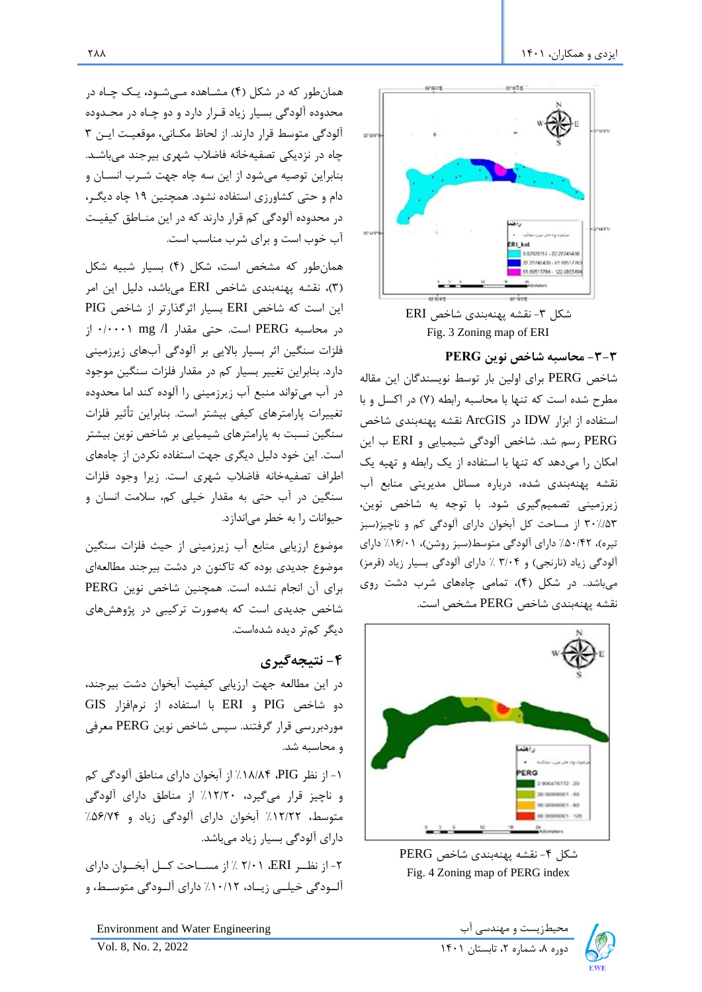

شکل ۳- نقشه پهنهبندی شاخص ERI Fig. 3 Zoning map of ERI

**-3-3 محاسبه شاخص نوین PERG**

شاخص PERG برای اولین بار توسط نویسندگان این مقاله مطرح شده است که تنها با محاسبه رابطه )7( در اکسل و با استفاده از ابزار IDW در ArcGIS نقشه پهنهبندی شاخص PERG رسم شد . شاخص آلودگی شیمیایی و ERI ب این امکان را میدهد که تنها با استفاده از یک رابطه و تهیه یک نقشه پهنه بندی شده، درباره مسائل مدیریتی منابع آب زیرزمینی تصمیم گیری شود. با توجه به شاخص نوین، 30%/53 از مساحت کل آبخوان دارای آلودگی کم و ناچیز)سبز تیره)، ۵۰/۴۲٪ دارای آلودگی متوسط(سبز روشن)، ۱۶/۰۱٪ دارای آلودگی زیاد (نارنجی) و ۳/۰۴ ٪ دارای آلودگی بسیار زیاد (قرمز) میباشد.. در شکل )4(، تمامی چاههای شرب دشت روی نقشه پهنه بندی شاخص PERG مشخص است.



شکل -4 نقشه پهنهبندی شاخص PERG Fig. 4 Zoning map of PERG index

همانطور که در شکل )4( مشراهده مریشرود، یرک چراه در محدوده آلودگی بسیار زیاد قررار دارد و دو چراه در محردوده آلودگی متوسط قرار دارند. از لحاب مکرانی، موقعیرت ایرن 3 چاه در نزدیکی تصفیهخانه فاضالب شهری بیرجند میباشرد. بنابراین توصیه میشود از این سه چاه جهت شررب انسران و دام و حتی کشاورزی استفاده نشود. همچنین 19 چاه دیگرر، در محدوده آلودگی کم قرار دارند که در این منراطق کیفیرت آب خوب است و برای شرب مناسب است.

همانطور که مشخص است، شکل )4( بسیار شبیه شکل )3(، نقشه پهنهبندی شاخص ERI میباشد، دلیل این امر این است که شاخص ERI بسیار اثرگذارتر از شاخص PIG در محاسبه PERG است. حتی مقدار l/ mg 0/0001 از فلزات سنگین اثر بسیار باالیی بر آلودگی آبهای زیرزمینی دارد. بنابراین تغییر بسیار کم در مقدار فلزات سنگین موجود در آب میتواند منبع آب زیرزمینی را آلوده کند اما محدوده تغییرات پارامترهای کیفی بیشتر است. بنابراین تأثیر فلزات سنگین نسبت به پارامترهای شیمیایی بر شاخص نوین بیشتر است. این خود دلیل دیگری جهت استفاده نکردن از چاههای اطراف تصفیه خانه فاضالب شهری است. زیرا وجود فلزات سنگین در آب حتی به مقدار خیلی کم، سالمت انسان و حیوانات را به خطر میاندازد.

موضوع ارزیابی منابع آب زیرزمینی از حیث فلزات سنگین موضوع جدیدی بوده که تاکنون در دشت بیرجند مطالعهای برای آن انجام نشده است. همچنین شاخص نوین PERG شاخص جدیدی است که بهصورت ترکیبی در پژوهش های دیگر کم تر دیده شدهاست.

# **-4 نتیجه گیری**

در این مطالعه جهت ارزیابی کیفیت آبخوان دشت بیرجند، دو شاخص PIG و ERI با استفاده از نرمافزار GIS موردبررسی قرار گرفتند. سپس شاخص نوین PERG معرفی و محاسبه شد.

-1 از نظر PIG، %18/84 از آبخوان دارای مناطق آلودگی کم و ناچیز قرار میگیرد، %12/20 از مناطق دارای آلودگی متوسط، %12/22 آبخوان دارای آلودگی زیاد و %56/74 دارای آلودگی بسیار زیاد میباشد.

-2 از نظررر ERI، 2/01 % از مسرراحت کررل آبخرروان دارای آلــودگی خیلــی زیــاد، ۱۰/۱۲٪ دارای آلــودگی متوســط، و



**7AA**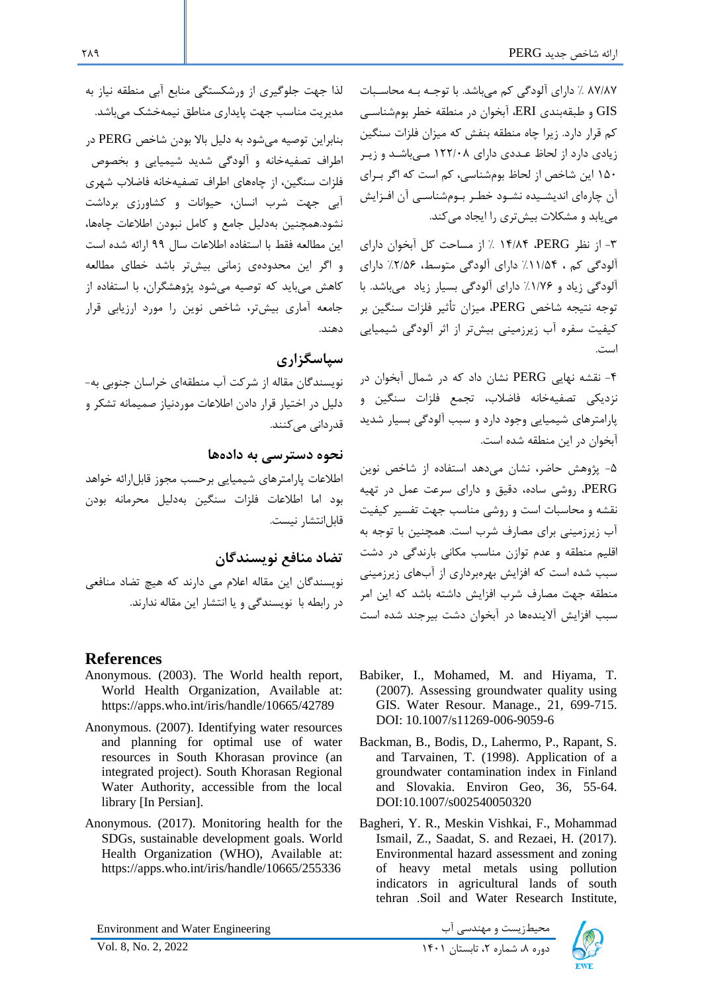87/87 % دارای آلودگی کم میباشد. با توجره بره محاسربات GIS و طبقهبندی ERI، آبخوان در منطقه خطر بومشناسری کم قرار دارد. زیرا چاه منطقه بنفش که میزان فلزات سنگین زیادی دارد از لحاب عرددی دارای 122/08 مریباشرد و زیرر 150 این شاخص از لحاب بومشناسی، کم است که اگر بررای آن چارهای اندیشریده نشرود خطرر برومشناسری آن افرزایش می یابد و مشکلات بیش تری را ایجاد می کند.

-3 از نظر PERG، 14/84 % از مساحت کل آبخوان دارای آلودگی کم ، %11/54 دارای آلودگی متوسط، %2/56 دارای آلودگی زیاد و %1/76 دارای آلودگی بسیار زیاد میباشد. با توجه نتیجه شاخص PERG، میزان تأثیر فلزات سنگین بر کیفیت سفره آب زیرزمینی بیش تر از اثر آلودگی شیمیایی است.

-4 نقشه نهایی PERG نشان داد که در شمال آبخوان در نزدیکی تصفیه خانه فاضالب، تجمع فلزات سنگین و پارامترهای شیمیایی وجود دارد و سبب آلودگی بسیار شدید آبخوان در این منطقه شده است.

-5 پژوهش حاضر، نشان میدهد استفاده از شاخص نوین PERG، روشی ساده، دقیق و دارای سرعت عمل در تهیه نقشه و محاسبات است و روشی مناسب جهت تفسیر کیفیت آب زیرزمینی برای مصارف شرب است. همچنین با توجه به اقلیم منطقه و عدم توازن مناسب مکانی بارندگی در دشت سبب شده است که افزایش بهرهبرداری از آب های زیرزمینی منطقه جهت مصارف شرب افزایش داشته باشد که این امر سبب افزایش آالیندهها در آبخوان دشت بیرجند شده است

- Babiker, I., Mohamed, M. and Hiyama, T. (2007). Assessing groundwater quality using GIS. Water Resour. Manage., 21, 699-715. DOI: 10.1007/s11269-006-9059-6
- Backman, B., Bodis, D., Lahermo, P., Rapant, S. and Tarvainen, T. (1998). Application of a groundwater contamination index in Finland and Slovakia. Environ Geo, 36, 55-64. DOI:10.1007/s002540050320
- Bagheri, Y. R., Meskin Vishkai, F., Mohammad Ismail, Z., Saadat, S. and Rezaei, H. (2017). Environmental hazard assessment and zoning of heavy metal metals using pollution indicators in agricultural lands of south tehran .Soil and Water Research Institute,

دی بست و مهندسی آب است است است است و مهندسی آب محیطزیست و مهندسی آب<br>دوره ۸، شماره ۲، تابستان ۱۴۰۱ ـ 2022 ـ Vol. 8, No. 2, 2022



لذا جهت جلوگیری از ورشکستگی منابع آبی منطقه نیاز به مدیریت مناسب جهت پایداری مناطق نیمه خشک میباشد . بنابراین توصیه میشود به دلیل باال بودن شاخص PERG در اطراف تصفیه خانه و آلودگی شدید شیمیایی و بخصوص فلزات سنگین، از چاههای اطراف تصفیه خانه فاضالب شهری آبی جهت شرب انسان، حیوانات و کشاورزی برداشت نشود.همچنین بهدلیل جامع و کامل نبودن اطالعات چاهها، این مطالعه فقط با استفاده اطالعات سال 99 ارائه شده است و اگر این محدودهی زمانی بیشتر باشد خطای مطالعه کاهش میباید که توصیه میشود پژوهشگران، با استفاده از جامعه آماری بیشتر، شاخص نوین را مورد ارزیابی قرار دهند.

# **سپاسگزاری**

نویسندگان مقاله از شرکت آب منطقه ای خراسان جنوبی به- دلیل در اختیار قرار دادن اطالعات موردنیاز صمیمانه تشکر و قدردانی میکنند.

**نحوه دسترسی به داده ها** 

اطالعات پارامترهای شیمیایی برحسب مجوز قابلارائه خواهد بود اما اطالعات فلزات سنگین بهدلیل محرمانه بودن قابل انتشار نیست.

# **تضاد منافع نویسندگان**

نویسندگان این مقاله اعالم می دارند که هیچ تضاد منافعی در رابطه با نویسندگی و یا انتشار این مقاله ندارند .

# **References**

- Anonymous. (2003). The World health report, World Health Organization, Available at: https://apps.who.int/iris/handle/10665/42789
- Anonymous. (2007). Identifying water resources and planning for optimal use of water resources in South Khorasan province (an integrated project). South Khorasan Regional Water Authority, accessible from the local library [In Persian].
- Anonymous. (2017). Monitoring health for the SDGs, sustainable development goals. World Health Organization (WHO), Available at: https://apps.who.int/iris/handle/10665/255336

Environment and Water Engineering